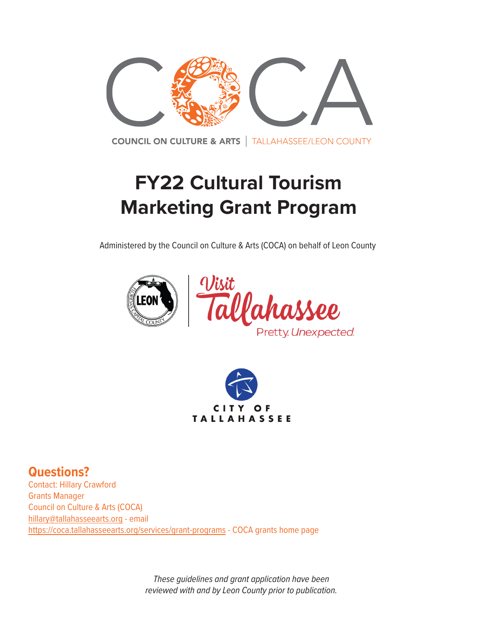

**COUNCIL ON CULTURE & ARTS** | TALLAHASSEE/LEON COUNTY

# **FY22 Cultural Tourism Marketing Grant Program**

Administered by the Council on Culture & Arts (COCA) on behalf of Leon County







**Questions?**  Contact: Hillary Crawford Grants Manager Council on Culture & Arts (COCA) [hillary@tallahasseearts.org](mailto:hillary%40tallahasseearts.org?subject=FY22%20Cultural%20Tourism%20Marketing%20Grant) - email <https://coca.tallahasseearts.org/services/grant-programs> - COCA grants home page

> *These guidelines and grant application have been reviewed with and by Leon County prior to publication.*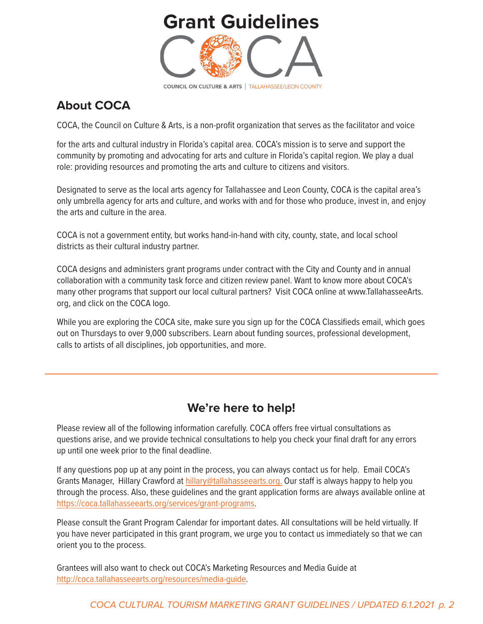## **[Grant Guidelines](http://TallahasseeArts.org)**



### **About COCA**

COCA, the Council on Culture & Arts, is a non-profit organization that serves as the facilitator and voice

for the arts and cultural industry in Florida's capital area. COCA's mission is to serve and support the community by promoting and advocating for arts and culture in Florida's capital region. We play a dual role: providing resources and promoting the arts and culture to citizens and visitors.

Designated to serve as the local arts agency for Tallahassee and Leon County, COCA is the capital area's only umbrella agency for arts and culture, and works with and for those who produce, invest in, and enjoy the arts and culture in the area.

COCA is not a government entity, but works hand-in-hand with city, county, state, and local school districts as their cultural industry partner.

COCA designs and administers grant programs under contract with the City and County and in annual collaboration with a community task force and citizen review panel. Want to know more about COCA's many other programs that support our local cultural partners? Visit COCA online at [www.TallahasseeArts.](https://www.tallahasseearts.org/) [org,](https://www.tallahasseearts.org/) and click on the COCA logo.

While you are exploring the COCA site, make sure you sign up for the COCA Classifieds email, which goes out on Thursdays to over 9,000 subscribers. Learn about funding sources, professional development, calls to artists of all disciplines, job opportunities, and more.

### **We're here to help!**

Please review all of the following information carefully. COCA offers free virtual consultations as questions arise, and we provide technical consultations to help you check your final draft for any errors up until one week prior to the final deadline.

If any questions pop up at any point in the process, you can always contact us for help. Email COCA's Grants Manager, Hillary Crawford at [hillary@tallahasseearts.org.](mailto:hillary%40tallahasseearts.org.?subject=FY22%20Cultural%20Grant) Our staff is always happy to help you through the process. Also, these guidelines and the grant application forms are always available online at <https://coca.tallahasseearts.org/services/grant-programs>.

Please consult the Grant Program Calendar for important dates. All consultations will be held virtually. If you have never participated in this grant program, we urge you to contact us immediately so that we can orient you to the process.

Grantees will also want to check out COCA's Marketing Resources and Media Guide at [http://coca.tallahasseearts.org/resources/media-guide.](http://coca.tallahasseearts.org/resources/media-guide
)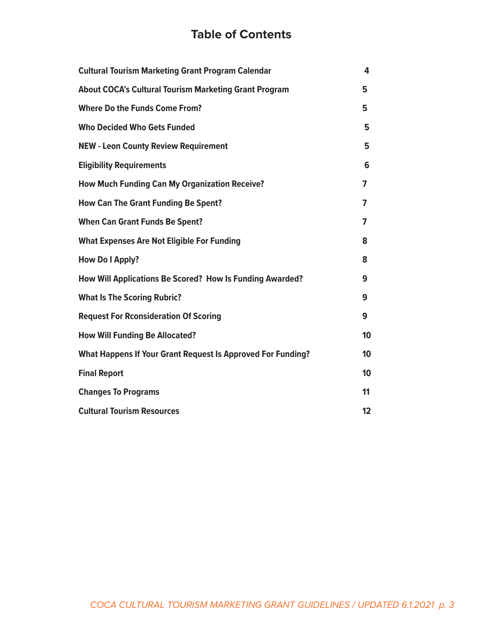### **Table of Contents**

| <b>Cultural Tourism Marketing Grant Program Calendar</b>     | 4  |
|--------------------------------------------------------------|----|
| <b>About COCA's Cultural Tourism Marketing Grant Program</b> | 5  |
| <b>Where Do the Funds Come From?</b>                         | 5  |
| <b>Who Decided Who Gets Funded</b>                           | 5  |
| <b>NEW - Leon County Review Requirement</b>                  | 5  |
| <b>Eligibility Requirements</b>                              | 6  |
| <b>How Much Funding Can My Organization Receive?</b>         | 7  |
| <b>How Can The Grant Funding Be Spent?</b>                   | 7  |
| <b>When Can Grant Funds Be Spent?</b>                        | 7  |
| <b>What Expenses Are Not Eligible For Funding</b>            | 8  |
| <b>How Do I Apply?</b>                                       | 8  |
| How Will Applications Be Scored? How Is Funding Awarded?     | 9  |
| <b>What Is The Scoring Rubric?</b>                           | 9  |
| <b>Request For Rconsideration Of Scoring</b>                 | 9  |
| <b>How Will Funding Be Allocated?</b>                        | 10 |
| What Happens If Your Grant Request Is Approved For Funding?  | 10 |
| <b>Final Report</b>                                          | 10 |
| <b>Changes To Programs</b>                                   | 11 |
| <b>Cultural Tourism Resources</b>                            | 12 |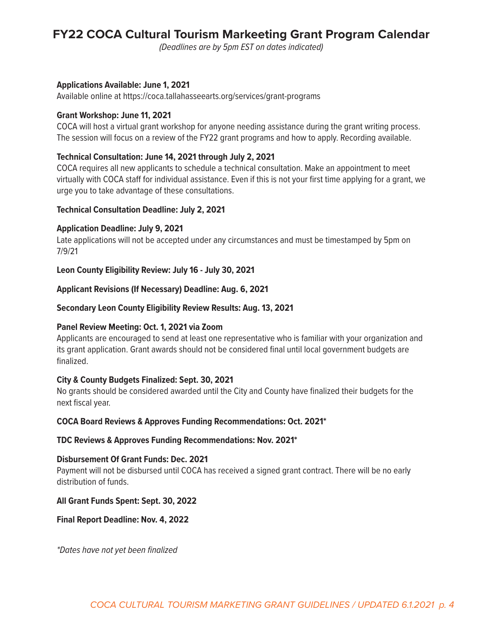### **FY22 COCA Cultural Tourism Markeeting Grant Program Calendar**

*(Deadlines are by 5pm EST on dates indicated)*

#### **Applications Available: June 1, 2021**

Available online at https://coca.tallahasseearts.org/services/grant-programs

#### **Grant Workshop: June 11, 2021**

COCA will host a virtual grant workshop for anyone needing assistance during the grant writing process. The session will focus on a review of the FY22 grant programs and how to apply. Recording available.

#### **Technical Consultation: June 14, 2021 through July 2, 2021**

COCA requires all new applicants to schedule a technical consultation. Make an appointment to meet virtually with COCA staff for individual assistance. Even if this is not your first time applying for a grant, we urge you to take advantage of these consultations.

#### **Technical Consultation Deadline: July 2, 2021**

#### **Application Deadline: July 9, 2021**

Late applications will not be accepted under any circumstances and must be timestamped by 5pm on 7/9/21

#### **Leon County Eligibility Review: July 16 - July 30, 2021**

#### **Applicant Revisions (If Necessary) Deadline: Aug. 6, 2021**

#### **Secondary Leon County Eligibility Review Results: Aug. 13, 2021**

#### **Panel Review Meeting: Oct. 1, 2021 via Zoom**

Applicants are encouraged to send at least one representative who is familiar with your organization and its grant application. Grant awards should not be considered final until local government budgets are finalized.

#### **City & County Budgets Finalized: Sept. 30, 2021**

No grants should be considered awarded until the City and County have finalized their budgets for the next fiscal year.

#### **COCA Board Reviews & Approves Funding Recommendations: Oct. 2021\***

#### **TDC Reviews & Approves Funding Recommendations: Nov. 2021\***

#### **Disbursement Of Grant Funds: Dec. 2021**

Payment will not be disbursed until COCA has received a signed grant contract. There will be no early distribution of funds.

#### **All Grant Funds Spent: Sept. 30, 2022**

**Final Report Deadline: Nov. 4, 2022**

*\*Dates have not yet been finalized*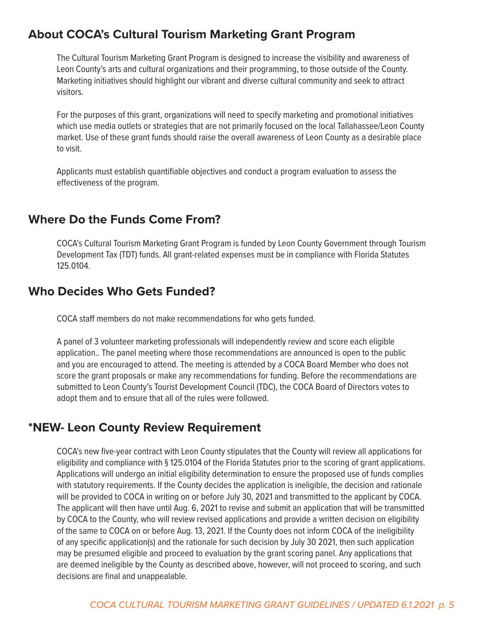#### **About COCA's Cultural Tourism Marketing Grant Program**

The Cultural Tourism Marketing Grant Program is designed to increase the visibility and awareness of Leon County's arts and cultural organizations and their programming, to those outside of the County. Marketing initiatives should highlight our vibrant and diverse cultural community and seek to attract visitors.

For the purposes of this grant, organizations will need to specify marketing and promotional initiatives which use media outlets or strategies that are not primarily focused on the local Tallahassee/Leon County market. Use of these grant funds should raise the overall awareness of Leon County as a desirable place to visit.

Applicants must establish quantifiable objectives and conduct a program evaluation to assess the effectiveness of the program.

#### **Where Do the Funds Come From?**

COCA's Cultural Tourism Marketing Grant Program is funded by Leon County Government through Tourism Development Tax (TDT) funds. All grant-related expenses must be in compliance with Florida Statutes 125.0104.

#### **Who Decides Who Gets Funded?**

COCA staff members do not make recommendations for who gets funded.

A panel of 3 volunteer marketing professionals will independently review and score each eligible application.. The panel meeting where those recommendations are announced is open to the public and you are encouraged to attend. The meeting is attended by a COCA Board Member who does not score the grant proposals or make any recommendations for funding. Before the recommendations are submitted to Leon County's Tourist Development Council (TDC), the COCA Board of Directors votes to adopt them and to ensure that all of the rules were followed.

#### **\*NEW- Leon County Review Requirement**

COCA's new five-year contract with Leon County stipulates that the County will review all applications for eligibility and compliance with § 125.0104 of the Florida Statutes prior to the scoring of grant applications. Applications will undergo an initial eligibility determination to ensure the proposed use of funds complies with statutory requirements. If the County decides the application is ineligible, the decision and rationale will be provided to COCA in writing on or before July 30, 2021 and transmitted to the applicant by COCA. The applicant will then have until Aug. 6, 2021 to revise and submit an application that will be transmitted by COCA to the County, who will review revised applications and provide a written decision on eligibility of the same to COCA on or before Aug. 13, 2021. If the County does not inform COCA of the ineligibility of any specific application(s) and the rationale for such decision by July 30 2021, then such application may be presumed eligible and proceed to evaluation by the grant scoring panel. Any applications that are deemed ineligible by the County as described above, however, will not proceed to scoring, and such decisions are final and unappealable.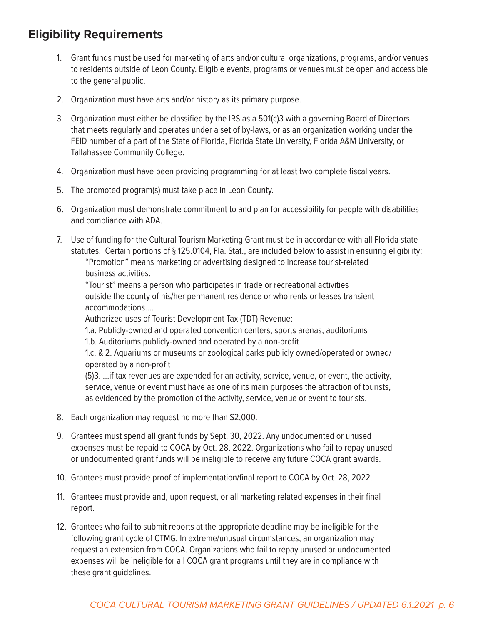### **Eligibility Requirements**

- 1. Grant funds must be used for marketing of arts and/or cultural organizations, programs, and/or venues to residents outside of Leon County. Eligible events, programs or venues must be open and accessible to the general public.
- 2. Organization must have arts and/or history as its primary purpose.
- 3. Organization must either be classified by the IRS as a 501(c)3 with a governing Board of Directors that meets regularly and operates under a set of by-laws, or as an organization working under the FEID number of a part of the State of Florida, Florida State University, Florida A&M University, or Tallahassee Community College.
- 4. Organization must have been providing programming for at least two complete fiscal years.
- 5. The promoted program(s) must take place in Leon County.
- 6. Organization must demonstrate commitment to and plan for accessibility for people with disabilities and compliance with ADA.
- 7. Use of funding for the Cultural Tourism Marketing Grant must be in accordance with all Florida state statutes. Certain portions of § 125.0104, Fla. Stat., are included below to assist in ensuring eligibility: "Promotion" means marketing or advertising designed to increase tourist-related business activities.

"Tourist" means a person who participates in trade or recreational activities outside the county of his/her permanent residence or who rents or leases transient accommodations….

Authorized uses of Tourist Development Tax (TDT) Revenue:

1.a. Publicly-owned and operated convention centers, sports arenas, auditoriums

1.b. Auditoriums publicly-owned and operated by a non-profit

1.c. & 2. Aquariums or museums or zoological parks publicly owned/operated or owned/ operated by a non-profit

(5)3. …if tax revenues are expended for an activity, service, venue, or event, the activity, service, venue or event must have as one of its main purposes the attraction of tourists, as evidenced by the promotion of the activity, service, venue or event to tourists.

- 8. Each organization may request no more than \$2,000.
- 9. Grantees must spend all grant funds by Sept. 30, 2022. Any undocumented or unused expenses must be repaid to COCA by Oct. 28, 2022. Organizations who fail to repay unused or undocumented grant funds will be ineligible to receive any future COCA grant awards.
- 10. Grantees must provide proof of implementation/final report to COCA by Oct. 28, 2022.
- 11. Grantees must provide and, upon request, or all marketing related expenses in their final report.
- 12. Grantees who fail to submit reports at the appropriate deadline may be ineligible for the following grant cycle of CTMG. In extreme/unusual circumstances, an organization may request an extension from COCA. Organizations who fail to repay unused or undocumented expenses will be ineligible for all COCA grant programs until they are in compliance with these grant guidelines.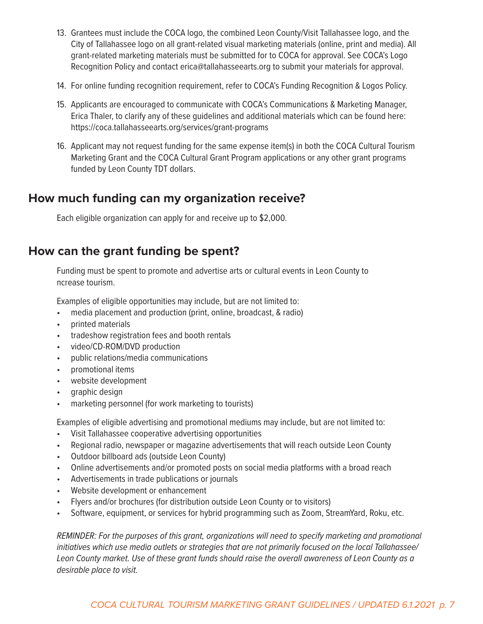- 13. Grantees must include the COCA logo, the combined Leon County/Visit Tallahassee logo, and the City of Tallahassee logo on all grant-related visual marketing materials (online, print and media). All grant-related marketing materials must be submitted for to COCA for approval. See COCA's Logo Recognition Policy and contact erica@tallahasseearts.org to submit your materials for approval.
- 14. For online funding recognition requirement, refer to COCA's Funding Recognition & Logos Policy.
- 15. Applicants are encouraged to communicate with COCA's Communications & Marketing Manager, Erica Thaler, to clarify any of these guidelines and additional materials which can be found here: https://coca.tallahasseearts.org/services/grant-programs
- 16. Applicant may not request funding for the same expense item(s) in both the COCA Cultural Tourism Marketing Grant and the COCA Cultural Grant Program applications or any other grant programs funded by Leon County TDT dollars.

#### **How much funding can my organization receive?**

Each eligible organization can apply for and receive up to \$2,000.

#### **How can the grant funding be spent?**

Funding must be spent to promote and advertise arts or cultural events in Leon County to ncrease tourism.

Examples of eligible opportunities may include, but are not limited to:

- media placement and production (print, online, broadcast, & radio)
- printed materials
- tradeshow registration fees and booth rentals
- video/CD-ROM/DVD production
- public relations/media communications
- promotional items
- website development
- graphic design
- marketing personnel (for work marketing to tourists)

Examples of eligible advertising and promotional mediums may include, but are not limited to:

- Visit Tallahassee cooperative advertising opportunities
- Regional radio, newspaper or magazine advertisements that will reach outside Leon County
- Outdoor billboard ads (outside Leon County)
- Online advertisements and/or promoted posts on social media platforms with a broad reach
- Advertisements in trade publications or journals
- Website development or enhancement
- Flyers and/or brochures (for distribution outside Leon County or to visitors)
- Software, equipment, or services for hybrid programming such as Zoom, StreamYard, Roku, etc.

*REMINDER: For the purposes of this grant, organizations will need to specify marketing and promotional initiatives which use media outlets or strategies that are not primarily focused on the local Tallahassee/ Leon County market. Use of these grant funds should raise the overall awareness of Leon County as a desirable place to visit.*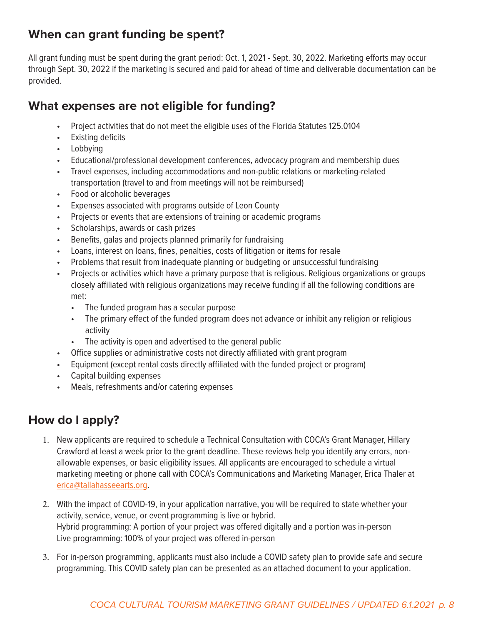### **When can grant funding be spent?**

All grant funding must be spent during the grant period: Oct. 1, 2021 - Sept. 30, 2022. Marketing efforts may occur through Sept. 30, 2022 if the marketing is secured and paid for ahead of time and deliverable documentation can be provided.

### **What expenses are not eligible for funding?**

- Project activities that do not meet the eligible uses of the Florida Statutes 125.0104
- Existing deficits
- Lobbying
- Educational/professional development conferences, advocacy program and membership dues
- Travel expenses, including accommodations and non-public relations or marketing-related transportation (travel to and from meetings will not be reimbursed)
- Food or alcoholic beverages
- Expenses associated with programs outside of Leon County
- Projects or events that are extensions of training or academic programs
- Scholarships, awards or cash prizes
- Benefits, galas and projects planned primarily for fundraising
- Loans, interest on loans, fines, penalties, costs of litigation or items for resale
- Problems that result from inadequate planning or budgeting or unsuccessful fundraising
- Projects or activities which have a primary purpose that is religious. Religious organizations or groups closely affiliated with religious organizations may receive funding if all the following conditions are met:
	- The funded program has a secular purpose
	- The primary effect of the funded program does not advance or inhibit any religion or religious activity
	- The activity is open and advertised to the general public
- Office supplies or administrative costs not directly affiliated with grant program
- Equipment (except rental costs directly affiliated with the funded project or program)
- Capital building expenses
- Meals, refreshments and/or catering expenses

### **How do I apply?**

- 1. New applicants are required to schedule a Technical Consultation with COCA's Grant Manager, Hillary Crawford at least a week prior to the grant deadline. These reviews help you identify any errors, nonallowable expenses, or basic eligibility issues. All applicants are encouraged to schedule a virtual marketing meeting or phone call with COCA's Communications and Marketing Manager, Erica Thaler at [erica@tallahasseearts.org.](mailto:erica%40tallahasseearts.org?subject=Marketing%20Consultation)
- 2. With the impact of COVID-19, in your application narrative, you will be required to state whether your activity, service, venue, or event programming is live or hybrid. Hybrid programming: A portion of your project was offered digitally and a portion was in-person Live programming: 100% of your project was offered in-person
- 3. For in-person programming, applicants must also include a COVID safety plan to provide safe and secure programming. This COVID safety plan can be presented as an attached document to your application.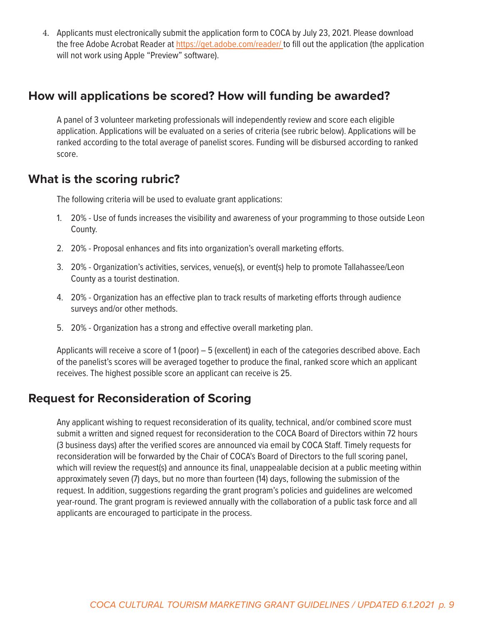4. Applicants must electronically submit the application form to COCA by July 23, 2021. Please download the free Adobe Acrobat Reader at [https://get.adobe.com/reader/](mailto:/reader/%20?subject=) to fill out the application (the application will not work using Apple "Preview" software).

#### **How will applications be scored? How will funding be awarded?**

A panel of 3 volunteer marketing professionals will independently review and score each eligible application. Applications will be evaluated on a series of criteria (see rubric below). Applications will be ranked according to the total average of panelist scores. Funding will be disbursed according to ranked score.

#### **What is the scoring rubric?**

The following criteria will be used to evaluate grant applications:

- 1. 20% Use of funds increases the visibility and awareness of your programming to those outside Leon County.
- 2. 20% Proposal enhances and fits into organization's overall marketing efforts.
- 3. 20% Organization's activities, services, venue(s), or event(s) help to promote Tallahassee/Leon County as a tourist destination.
- 4. 20% Organization has an effective plan to track results of marketing efforts through audience surveys and/or other methods.
- 5. 20% Organization has a strong and effective overall marketing plan.

Applicants will receive a score of 1 (poor) – 5 (excellent) in each of the categories described above. Each of the panelist's scores will be averaged together to produce the final, ranked score which an applicant receives. The highest possible score an applicant can receive is 25.

### **Request for Reconsideration of Scoring**

Any applicant wishing to request reconsideration of its quality, technical, and/or combined score must submit a written and signed request for reconsideration to the COCA Board of Directors within 72 hours (3 business days) after the verified scores are announced via email by COCA Staff. Timely requests for reconsideration will be forwarded by the Chair of COCA's Board of Directors to the full scoring panel, which will review the request(s) and announce its final, unappealable decision at a public meeting within approximately seven (7) days, but no more than fourteen (14) days, following the submission of the request. In addition, suggestions regarding the grant program's policies and guidelines are welcomed year-round. The grant program is reviewed annually with the collaboration of a public task force and all applicants are encouraged to participate in the process.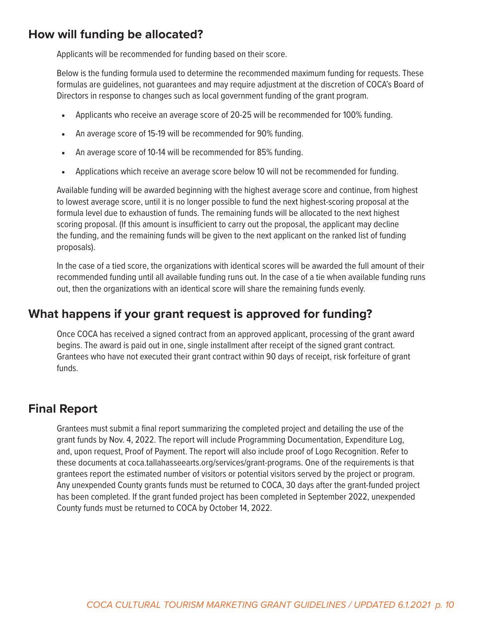#### **How will funding be allocated?**

Applicants will be recommended for funding based on their score.

Below is the funding formula used to determine the recommended maximum funding for requests. These formulas are guidelines, not guarantees and may require adjustment at the discretion of COCA's Board of Directors in response to changes such as local government funding of the grant program.

- Applicants who receive an average score of 20-25 will be recommended for 100% funding.
- An average score of 15-19 will be recommended for 90% funding.
- An average score of 10-14 will be recommended for 85% funding.
- Applications which receive an average score below 10 will not be recommended for funding.

Available funding will be awarded beginning with the highest average score and continue, from highest to lowest average score, until it is no longer possible to fund the next highest-scoring proposal at the formula level due to exhaustion of funds. The remaining funds will be allocated to the next highest scoring proposal. (If this amount is insufficient to carry out the proposal, the applicant may decline the funding, and the remaining funds will be given to the next applicant on the ranked list of funding proposals).

In the case of a tied score, the organizations with identical scores will be awarded the full amount of their recommended funding until all available funding runs out. In the case of a tie when available funding runs out, then the organizations with an identical score will share the remaining funds evenly.

#### **What happens if your grant request is approved for funding?**

Once COCA has received a signed contract from an approved applicant, processing of the grant award begins. The award is paid out in one, single installment after receipt of the signed grant contract. Grantees who have not executed their grant contract within 90 days of receipt, risk forfeiture of grant funds.

#### **Final Report**

Grantees must submit a final report summarizing the completed project and detailing the use of the grant funds by Nov. 4, 2022. The report will include Programming Documentation, Expenditure Log, and, upon request, Proof of Payment. The report will also include proof of Logo Recognition. Refer to these documents at coca.tallahasseearts.org/services/grant-programs. One of the requirements is that grantees report the estimated number of visitors or potential visitors served by the project or program. Any unexpended County grants funds must be returned to COCA, 30 days after the grant-funded project has been completed. If the grant funded project has been completed in September 2022, unexpended County funds must be returned to COCA by October 14, 2022.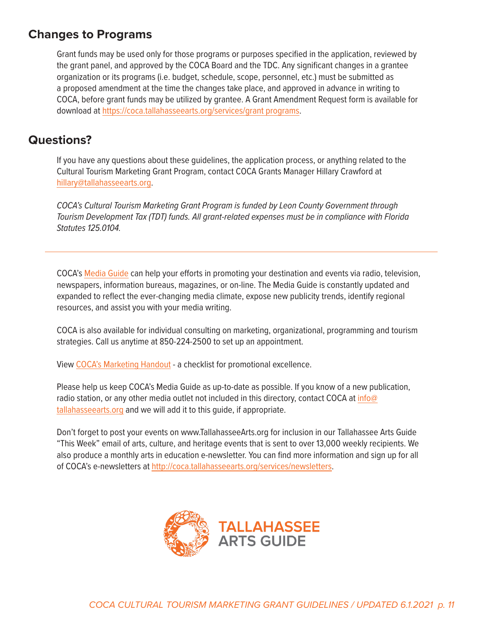### **Changes to Programs**

Grant funds may be used only for those programs or purposes specified in the application, reviewed by the grant panel, and approved by the COCA Board and the TDC. Any significant changes in a grantee organization or its programs (i.e. budget, schedule, scope, personnel, etc.) must be submitted as a proposed amendment at the time the changes take place, and approved in advance in writing to COCA, before grant funds may be utilized by grantee. A Grant Amendment Request form is available for download at [https://coca.tallahasseearts.org/services/grant programs.](https://coca.tallahasseearts.org/services/grant programs)

### **Questions?**

If you have any questions about these guidelines, the application process, or anything related to the Cultural Tourism Marketing Grant Program, contact COCA Grants Manager Hillary Crawford at [hillary@tallahasseearts.org.](mailto:hillary%40tallahasseearts.org?subject=FY22%20Cultural%20Tourism%20Marketing%20Grant%20Program)

*COCA's Cultural Tourism Marketing Grant Program is funded by Leon County Government through Tourism Development Tax (TDT) funds. All grant-related expenses must be in compliance with Florida Statutes 125.0104.*

COCA's [Media Guide](https://coca.tallahasseearts.org/resources/media-guide) can help your efforts in promoting your destination and events via radio, television, newspapers, information bureaus, magazines, or on-line. The Media Guide is constantly updated and expanded to reflect the ever-changing media climate, expose new publicity trends, identify regional resources, and assist you with your media writing.

COCA is also available for individual consulting on marketing, organizational, programming and tourism strategies. Call us anytime at 850-224-2500 to set up an appointment.

View [COCA's Marketing Handout](https://coca.tallahasseearts.org/uploads/documents/COCA_Marketing_Handout_6-13-17.pdf) - a checklist for promotional excellence.

Please help us keep COCA's Media Guide as up-to-date as possible. If you know of a new publication, radio station, or any other media outlet not included in this directory, contact COCA at [info@](mailto:info%40tallahasseearts.org?subject=COCA%27s%20Media%20Guide) [tallahasseearts.org](mailto:info%40tallahasseearts.org?subject=COCA%27s%20Media%20Guide) and we will add it to this guide, if appropriate.

Don't forget to post your events on www.TallahasseeArts.org for inclusion in our Tallahassee Arts Guide "This Week" email of arts, culture, and heritage events that is sent to over 13,000 weekly recipients. We also produce a monthly arts in education e-newsletter. You can find more information and sign up for all of COCA's e-newsletters at [http://coca.tallahasseearts.org/services/newsletters.](http://coca.tallahasseearts.org/services/newsletters)

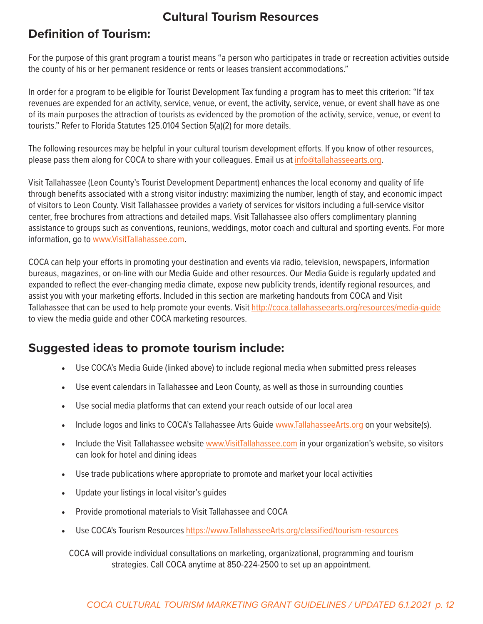### **Cultural Tourism Resources**

### **Definition of Tourism:**

For the purpose of this grant program a tourist means "a person who participates in trade or recreation activities outside the county of his or her permanent residence or rents or leases transient accommodations."

In order for a program to be eligible for Tourist Development Tax funding a program has to meet this criterion: "If tax revenues are expended for an activity, service, venue, or event, the activity, service, venue, or event shall have as one of its main purposes the attraction of tourists as evidenced by the promotion of the activity, service, venue, or event to tourists." Refer to Florida Statutes 125.0104 Section 5(a)(2) for more details.

The following resources may be helpful in your cultural tourism development efforts. If you know of other resources, please pass them along for COCA to share with your colleagues. Email us at [info@tallahasseearts.org.](mailto:info%40tallahasseearts.org?subject=Cultural%20Tourism%20Resources)

Visit Tallahassee (Leon County's Tourist Development Department) enhances the local economy and quality of life through benefits associated with a strong visitor industry: maximizing the number, length of stay, and economic impact of visitors to Leon County. Visit Tallahassee provides a variety of services for visitors including a full-service visitor center, free brochures from attractions and detailed maps. Visit Tallahassee also offers complimentary planning assistance to groups such as conventions, reunions, weddings, motor coach and cultural and sporting events. For more information, go to [www.VisitTallahassee.com.](http://www.VisitTallahassee.com)

COCA can help your efforts in promoting your destination and events via radio, television, newspapers, information bureaus, magazines, or on-line with our Media Guide and other resources. Our Media Guide is regularly updated and expanded to reflect the ever-changing media climate, expose new publicity trends, identify regional resources, and assist you with your marketing efforts. Included in this section are marketing handouts from COCA and Visit Tallahassee that can be used to help promote your events. Visit<http://coca.tallahasseearts.org/resources/media-guide> to view the media guide and other COCA marketing resources.

### **Suggested ideas to promote tourism include:**

- Use COCA's Media Guide (linked above) to include regional media when submitted press releases
- Use event calendars in Tallahassee and Leon County, as well as those in surrounding counties
- Use social media platforms that can extend your reach outside of our local area
- Include logos and links to COCA's Tallahassee Arts Guide [www.TallahasseeArts.org](http://www.TallahasseeArts.org) on your website(s).
- Include the Visit Tallahassee website [www.VisitTallahassee.com](http://www.VisitTallahassee.com) in your organization's website, so visitors can look for hotel and dining ideas
- Use trade publications where appropriate to promote and market your local activities
- Update your listings in local visitor's guides
- Provide promotional materials to Visit Tallahassee and COCA
- Use COCA's Tourism Resources [https://www.TallahasseeArts.org/classified/tourism-resources]((https://www.TallahasseeArts.org/classified/tourism-resources) )

COCA will provide individual consultations on marketing, organizational, programming and tourism strategies. Call COCA anytime at 850-224-2500 to set up an appointment.